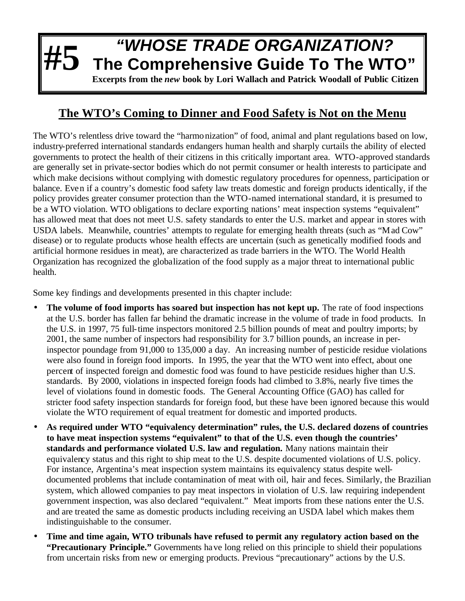## **#5** *"WHOSE TRADE ORGANIZATION?* **The Comprehensive Guide To The WTO" Excerpts from the** *new* **book by Lori Wallach and Patrick Woodall of Public Citizen**

## **The WTO's Coming to Dinner and Food Safety is Not on the Menu**

The WTO's relentless drive toward the "harmonization" of food, animal and plant regulations based on low, industry-preferred international standards endangers human health and sharply curtails the ability of elected governments to protect the health of their citizens in this critically important area. WTO-approved standards are generally set in private-sector bodies which do not permit consumer or health interests to participate and which make decisions without complying with domestic regulatory procedures for openness, participation or balance. Even if a country's domestic food safety law treats domestic and foreign products identically, if the policy provides greater consumer protection than the WTO-named international standard, it is presumed to be a WTO violation. WTO obligations to declare exporting nations' meat inspection systems "equivalent" has allowed meat that does not meet U.S. safety standards to enter the U.S. market and appear in stores with USDA labels. Meanwhile, countries' attempts to regulate for emerging health threats (such as "Mad Cow" disease) or to regulate products whose health effects are uncertain (such as genetically modified foods and artificial hormone residues in meat), are characterized as trade barriers in the WTO. The World Health Organization has recognized the globalization of the food supply as a major threat to international public health.

Some key findings and developments presented in this chapter include:

- The volume of food imports has soared but inspection has not kept up. The rate of food inspections at the U.S. border has fallen far behind the dramatic increase in the volume of trade in food products. In the U.S. in 1997, 75 full-time inspectors monitored 2.5 billion pounds of meat and poultry imports; by 2001, the same number of inspectors had responsibility for 3.7 billion pounds, an increase in perinspector poundage from 91,000 to 135,000 a day. An increasing number of pesticide residue violations were also found in foreign food imports. In 1995, the year that the WTO went into effect, about one percent of inspected foreign and domestic food was found to have pesticide residues higher than U.S. standards. By 2000, violations in inspected foreign foods had climbed to 3.8%, nearly five times the level of violations found in domestic foods. The General Accounting Office (GAO) has called for stricter food safety inspection standards for foreign food, but these have been ignored because this would violate the WTO requirement of equal treatment for domestic and imported products.
- **As required under WTO "equivalency determination" rules, the U.S. declared dozens of countries to have meat inspection systems "equivalent" to that of the U.S. even though the countries' standards and performance violated U.S. law and regulation.** Many nations maintain their equivalency status and this right to ship meat to the U.S. despite documented violations of U.S. policy. For instance, Argentina's meat inspection system maintains its equivalency status despite welldocumented problems that include contamination of meat with oil, hair and feces. Similarly, the Brazilian system, which allowed companies to pay meat inspectors in violation of U.S. law requiring independent government inspection, was also declared "equivalent." Meat imports from these nations enter the U.S. and are treated the same as domestic products including receiving an USDA label which makes them indistinguishable to the consumer.
- **Time and time again, WTO tribunals have refused to permit any regulatory action based on the "Precautionary Principle."** Governments have long relied on this principle to shield their populations from uncertain risks from new or emerging products. Previous "precautionary" actions by the U.S.